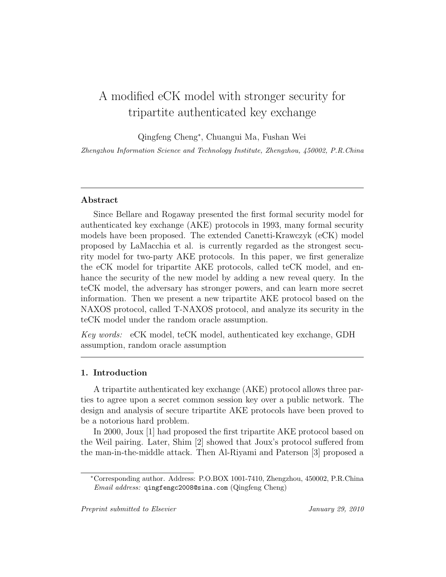# A modified eCK model with stronger security for tripartite authenticated key exchange

Qingfeng Cheng<sup>∗</sup> , Chuangui Ma, Fushan Wei

Zhengzhou Information Science and Technology Institute, Zhengzhou, 450002, P.R.China

## Abstract

Since Bellare and Rogaway presented the first formal security model for authenticated key exchange (AKE) protocols in 1993, many formal security models have been proposed. The extended Canetti-Krawczyk (eCK) model proposed by LaMacchia et al. is currently regarded as the strongest security model for two-party AKE protocols. In this paper, we first generalize the eCK model for tripartite AKE protocols, called teCK model, and enhance the security of the new model by adding a new reveal query. In the teCK model, the adversary has stronger powers, and can learn more secret information. Then we present a new tripartite AKE protocol based on the NAXOS protocol, called T-NAXOS protocol, and analyze its security in the teCK model under the random oracle assumption.

Key words: eCK model, teCK model, authenticated key exchange, GDH assumption, random oracle assumption

# 1. Introduction

A tripartite authenticated key exchange (AKE) protocol allows three parties to agree upon a secret common session key over a public network. The design and analysis of secure tripartite AKE protocols have been proved to be a notorious hard problem.

In 2000, Joux [1] had proposed the first tripartite AKE protocol based on the Weil pairing. Later, Shim [2] showed that Joux's protocol suffered from the man-in-the-middle attack. Then Al-Riyami and Paterson [3] proposed a

<sup>∗</sup>Corresponding author. Address: P.O.BOX 1001-7410, Zhengzhou, 450002, P.R.China Email address: qingfengc2008@sina.com (Qingfeng Cheng)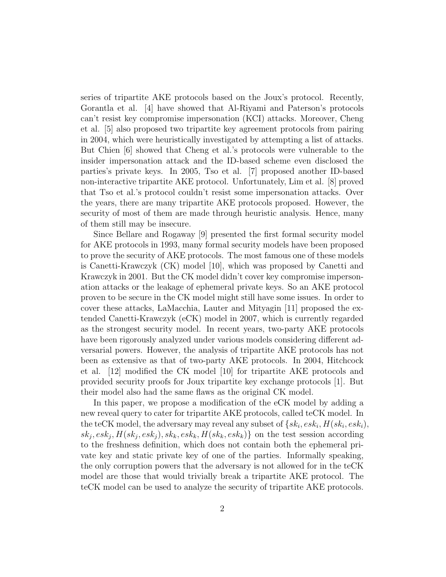series of tripartite AKE protocols based on the Joux's protocol. Recently, Gorantla et al. [4] have showed that Al-Riyami and Paterson's protocols can't resist key compromise impersonation (KCI) attacks. Moreover, Cheng et al. [5] also proposed two tripartite key agreement protocols from pairing in 2004, which were heuristically investigated by attempting a list of attacks. But Chien [6] showed that Cheng et al.'s protocols were vulnerable to the insider impersonation attack and the ID-based scheme even disclosed the parties's private keys. In 2005, Tso et al. [7] proposed another ID-based non-interactive tripartite AKE protocol. Unfortunately, Lim et al. [8] proved that Tso et al.'s protocol couldn't resist some impersonation attacks. Over the years, there are many tripartite AKE protocols proposed. However, the security of most of them are made through heuristic analysis. Hence, many of them still may be insecure.

Since Bellare and Rogaway [9] presented the first formal security model for AKE protocols in 1993, many formal security models have been proposed to prove the security of AKE protocols. The most famous one of these models is Canetti-Krawczyk (CK) model [10], which was proposed by Canetti and Krawczyk in 2001. But the CK model didn't cover key compromise impersonation attacks or the leakage of ephemeral private keys. So an AKE protocol proven to be secure in the CK model might still have some issues. In order to cover these attacks, LaMacchia, Lauter and Mityagin [11] proposed the extended Canetti-Krawczyk (eCK) model in 2007, which is currently regarded as the strongest security model. In recent years, two-party AKE protocols have been rigorously analyzed under various models considering different adversarial powers. However, the analysis of tripartite AKE protocols has not been as extensive as that of two-party AKE protocols. In 2004, Hitchcock et al. [12] modified the CK model [10] for tripartite AKE protocols and provided security proofs for Joux tripartite key exchange protocols [1]. But their model also had the same flaws as the original CK model.

In this paper, we propose a modification of the eCK model by adding a new reveal query to cater for tripartite AKE protocols, called teCK model. In the teCK model, the adversary may reveal any subset of  $\{sk_i, esk_i, H(sk_i, esk_i),$  $sk_j, esk_j, H(sk_j, esk_j), sk_k, esk_k, H(sk_k, esk_k)\}$  on the test session according to the freshness definition, which does not contain both the ephemeral private key and static private key of one of the parties. Informally speaking, the only corruption powers that the adversary is not allowed for in the teCK model are those that would trivially break a tripartite AKE protocol. The teCK model can be used to analyze the security of tripartite AKE protocols.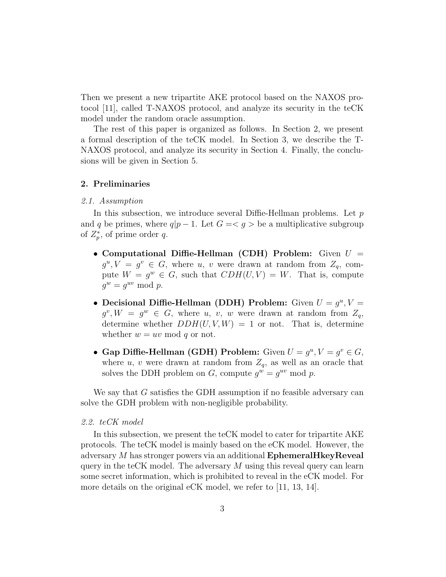Then we present a new tripartite AKE protocol based on the NAXOS protocol [11], called T-NAXOS protocol, and analyze its security in the teCK model under the random oracle assumption.

The rest of this paper is organized as follows. In Section 2, we present a formal description of the teCK model. In Section 3, we describe the T-NAXOS protocol, and analyze its security in Section 4. Finally, the conclusions will be given in Section 5.

#### 2. Preliminaries

#### 2.1. Assumption

In this subsection, we introduce several Diffie-Hellman problems. Let  $p$ and q be primes, where  $q|p-1$ . Let  $G = \langle g \rangle$  be a multiplicative subgroup of  $Z_p^*$ , of prime order q.

- Computational Diffie-Hellman (CDH) Problem: Given  $U =$  $g^u, V = g^v \in G$ , where u, v were drawn at random from  $Z_q$ , compute  $W = g^w \in G$ , such that  $CDH(U, V) = W$ . That is, compute  $g^w = g^{uv} \bmod p.$
- Decisional Diffie-Hellman (DDH) Problem: Given  $U = g^u$ ,  $V =$  $g^v, W = g^w \in G$ , where u, v, w were drawn at random from  $Z_q$ , determine whether  $DDH(U, V, W) = 1$  or not. That is, determine whether  $w = uv \mod q$  or not.
- Gap Diffie-Hellman (GDH) Problem: Given  $U = g^u$ ,  $V = g^v \in G$ , where u, v were drawn at random from  $Z_q$ , as well as an oracle that solves the DDH problem on  $G$ , compute  $g^w = g^{uv} \mod p$ .

We say that G satisfies the GDH assumption if no feasible adversary can solve the GDH problem with non-negligible probability.

#### 2.2. teCK model

In this subsection, we present the teCK model to cater for tripartite AKE protocols. The teCK model is mainly based on the eCK model. However, the adversary M has stronger powers via an additional EphemeralHkeyReveal query in the teCK model. The adversary  $M$  using this reveal query can learn some secret information, which is prohibited to reveal in the eCK model. For more details on the original eCK model, we refer to [11, 13, 14].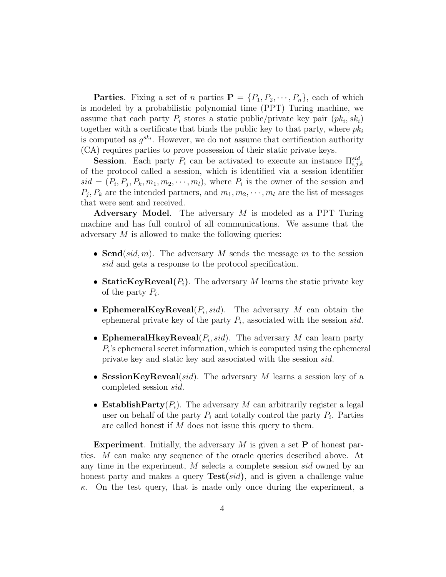**Parties.** Fixing a set of n parties  $\mathbf{P} = \{P_1, P_2, \dots, P_n\}$ , each of which is modeled by a probabilistic polynomial time (PPT) Turing machine, we assume that each party  $P_i$  stores a static public/private key pair  $(pk_i, sk_i)$ together with a certificate that binds the public key to that party, where  $pk_i$ is computed as  $g^{sk_i}$ . However, we do not assume that certification authority (CA) requires parties to prove possession of their static private keys.

**Session.** Each party  $P_i$  can be activated to execute an instance  $\Pi_{i,j,k}^{sid}$ of the protocol called a session, which is identified via a session identifier  $sid = (P_i, P_j, P_k, m_1, m_2, \cdots, m_l)$ , where  $P_i$  is the owner of the session and  $P_j, P_k$  are the intended partners, and  $m_1, m_2, \dots, m_l$  are the list of messages that were sent and received.

Adversary Model. The adversary M is modeled as a PPT Turing machine and has full control of all communications. We assume that the adversary  $M$  is allowed to make the following queries:

- Send(sid, m). The adversary M sends the message m to the session sid and gets a response to the protocol specification.
- StaticKeyReveal $(P_i)$ . The adversary M learns the static private key of the party  $P_i$ .
- EphemeralKeyReveal $(P_i, sid)$ . The adversary M can obtain the ephemeral private key of the party  $P_i$ , associated with the session sid.
- EphemeralHkeyReveal $(P_i, sid)$ . The adversary M can learn party  $P_i$ 's ephemeral secret information, which is computed using the ephemeral private key and static key and associated with the session sid.
- SessionKeyReveal(sid). The adversary M learns a session key of a completed session sid.
- Establish Party $(P_i)$ . The adversary M can arbitrarily register a legal user on behalf of the party  $P_i$  and totally control the party  $P_i$ . Parties are called honest if M does not issue this query to them.

**Experiment.** Initially, the adversary  $M$  is given a set **P** of honest parties. M can make any sequence of the oracle queries described above. At any time in the experiment, M selects a complete session sid owned by an honest party and makes a query  $Test(sid)$ , and is given a challenge value  $\kappa$ . On the test query, that is made only once during the experiment, a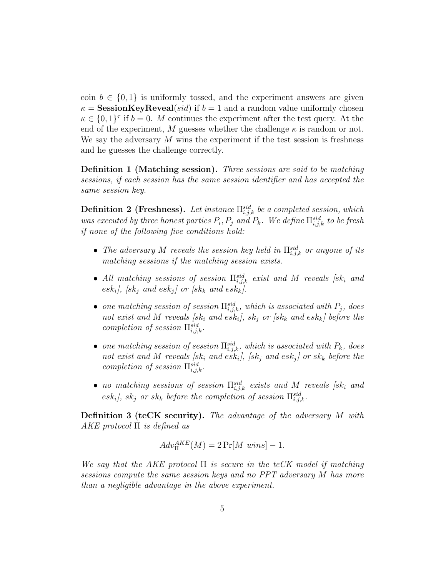coin  $b \in \{0,1\}$  is uniformly tossed, and the experiment answers are given  $\kappa =$ **SessionKeyReveal**(*sid*) if  $b = 1$  and a random value uniformly chosen  $\kappa \in \{0,1\}^{\tau}$  if  $b=0$ . M continues the experiment after the test query. At the end of the experiment, M guesses whether the challenge  $\kappa$  is random or not. We say the adversary  $M$  wins the experiment if the test session is freshness and he guesses the challenge correctly.

Definition 1 (Matching session). Three sessions are said to be matching sessions, if each session has the same session identifier and has accepted the same session key.

**Definition 2 (Freshness).** Let instance  $\prod_{i,j,k}^{sid}$  be a completed session, which was executed by three honest parties  $P_i, P_j$  and  $P_k$ . We define  $\prod_{i,j,k}^{sid}$  to be fresh if none of the following five conditions hold:

- The adversary M reveals the session key held in  $\prod_{i,j,k}^{sid}$  or anyone of its matching sessions if the matching session exists.
- All matching sessions of session  $\prod_{i,j,k}^{sid}$  exist and M reveals [sk<sub>i</sub> and  $\emph{esk}_i$ ], [sk<sub>j</sub> and esk<sub>j</sub>] or [sk<sub>k</sub> and esk<sub>k</sub>].
- one matching session of session  $\Pi_{i,j,k}^{sid}$ , which is associated with  $P_j$ , does not exist and M reveals [sk<sub>i</sub> and esk<sub>i</sub>], sk<sub>j</sub> or [sk<sub>k</sub> and esk<sub>k</sub>] before the completion of session  $\Pi_{i,j,k}^{sid}$ .
- one matching session of session  $\Pi_{i,j,k}^{sid}$ , which is associated with  $P_k$ , does not exist and M reveals [sk<sub>i</sub> and esk<sub>i</sub>], [sk<sub>i</sub> and esk<sub>i</sub>] or sk<sub>k</sub> before the completion of session  $\Pi_{i,j,k}^{sid}$ .
- no matching sessions of session  $\Pi_{i,j,k}^{sid}$  exists and M reveals [sk<sub>i</sub> and  $\{esk_i\}$ ,  $sk_j$  or  $sk_k$  before the completion of session  $\prod_{i,j,k}^{sid}$ .

Definition 3 (teCK security). The advantage of the adversary M with  $AKE$  protocol  $\Pi$  is defined as

$$
Adv_{\Pi}^{AKE}(M) = 2 \Pr[M \; wins] - 1.
$$

We say that the AKE protocol  $\Pi$  is secure in the teCK model if matching sessions compute the same session keys and no PPT adversary M has more than a negligible advantage in the above experiment.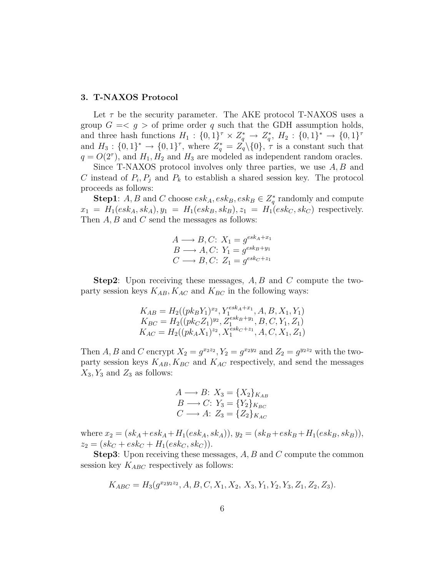#### 3. T-NAXOS Protocol

Let  $\tau$  be the security parameter. The AKE protocol T-NAXOS uses a group  $G = \langle g \rangle$  of prime order q such that the GDH assumption holds, and three hash functions  $H_1: \{0,1\}^{\tau} \times Z_q^* \to Z_q^*, H_2: \{0,1\}^* \to \{0,1\}^{\tau}$ and  $H_3: \{0,1\}^* \to \{0,1\}^{\tau}$ , where  $Z_q^* = Z_q^{\tau} \setminus \{0\}$ ,  $\tau$  is a constant such that  $q = O(2^{\tau})$ , and  $H_1, H_2$  and  $H_3$  are modeled as independent random oracles.

Since T-NAXOS protocol involves only three parties, we use  $A, B$  and C instead of  $P_i, P_j$  and  $P_k$  to establish a shared session key. The protocol proceeds as follows:

**Step1**: A, B and C choose  $esk_A, esk_B, esk_B \in Z_q^*$  randomly and compute  $x_1 = H_1(esk_A, sk_A), y_1 = H_1(esk_B, sk_B), z_1 = H_1(esk_C, sk_C)$  respectively. Then  $A, B$  and  $C$  send the messages as follows:

$$
A \longrightarrow B, C: X_1 = g^{esk_A + x_1}
$$
  
\n
$$
B \longrightarrow A, C: Y_1 = g^{esk_B + y_1}
$$
  
\n
$$
C \longrightarrow B, C: Z_1 = g^{esk_C + z_1}
$$

**Step2**: Upon receiving these messages,  $A, B$  and  $C$  compute the twoparty session keys  $K_{AB}$ ,  $K_{AC}$  and  $K_{BC}$  in the following ways:

$$
K_{AB} = H_2((pk_B Y_1)^{x_2}, Y_1^{esk_A + x_1}, A, B, X_1, Y_1)
$$
  
\n
$$
K_{BC} = H_2((pk_C Z_1)^{y_2}, Z_1^{esk_B + y_1}, B, C, Y_1, Z_1)
$$
  
\n
$$
K_{AC} = H_2((pk_A X_1)^{z_2}, X_1^{esk_C + z_1}, A, C, X_1, Z_1)
$$

Then A, B and C encrypt  $X_2 = g^{x_2x_2}$ ,  $Y_2 = g^{x_2y_2}$  and  $Z_2 = g^{y_2z_2}$  with the twoparty session keys  $K_{AB}, K_{BC}$  and  $K_{AC}$  respectively, and send the messages  $X_3, Y_3$  and  $Z_3$  as follows:

$$
A \longrightarrow B: X_3 = \{X_2\}_{K_{AB}}
$$
  
\n
$$
B \longrightarrow C: Y_3 = \{Y_2\}_{K_{BC}}
$$
  
\n
$$
C \longrightarrow A: Z_3 = \{Z_2\}_{K_{AC}}
$$

where  $x_2 = (sk_A + esk_A + H_1(esk_A, sk_A)), y_2 = (sk_B + esk_B + H_1(esk_B, sk_B)),$  $z_2 = (sk_C + esk_C + H_1(esk_C, sk_C)).$ 

**Step3**: Upon receiving these messages, A, B and C compute the common session key  $K_{ABC}$  respectively as follows:

$$
K_{ABC} = H_3(g^{x_2y_2z_2}, A, B, C, X_1, X_2, X_3, Y_1, Y_2, Y_3, Z_1, Z_2, Z_3).
$$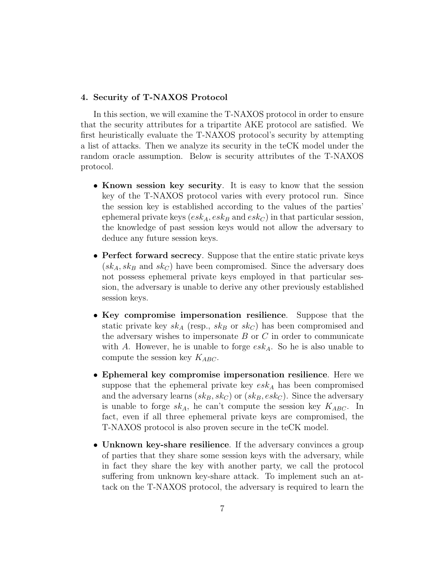#### 4. Security of T-NAXOS Protocol

In this section, we will examine the T-NAXOS protocol in order to ensure that the security attributes for a tripartite AKE protocol are satisfied. We first heuristically evaluate the T-NAXOS protocol's security by attempting a list of attacks. Then we analyze its security in the teCK model under the random oracle assumption. Below is security attributes of the T-NAXOS protocol.

- Known session key security. It is easy to know that the session key of the T-NAXOS protocol varies with every protocol run. Since the session key is established according to the values of the parties' ephemeral private keys  $(esk_A, esk_B \text{ and } esk_C)$  in that particular session, the knowledge of past session keys would not allow the adversary to deduce any future session keys.
- Perfect forward secrecy. Suppose that the entire static private keys  $(sk_A, sk_B \text{ and } sk_C)$  have been compromised. Since the adversary does not possess ephemeral private keys employed in that particular session, the adversary is unable to derive any other previously established session keys.
- Key compromise impersonation resilience. Suppose that the static private key  $sk_A$  (resp.,  $sk_B$  or  $sk_C$ ) has been compromised and the adversary wishes to impersonate  $B$  or  $C$  in order to communicate with A. However, he is unable to forge  $esk_A$ . So he is also unable to compute the session key  $K_{ABC}$ .
- Ephemeral key compromise impersonation resilience. Here we suppose that the ephemeral private key  $\operatorname{esk}_A$  has been compromised and the adversary learns  $(sk_B, sk_C)$  or  $(sk_B, esk_C)$ . Since the adversary is unable to forge  $sk_A$ , he can't compute the session key  $K_{ABC}$ . In fact, even if all three ephemeral private keys are compromised, the T-NAXOS protocol is also proven secure in the teCK model.
- Unknown key-share resilience. If the adversary convinces a group of parties that they share some session keys with the adversary, while in fact they share the key with another party, we call the protocol suffering from unknown key-share attack. To implement such an attack on the T-NAXOS protocol, the adversary is required to learn the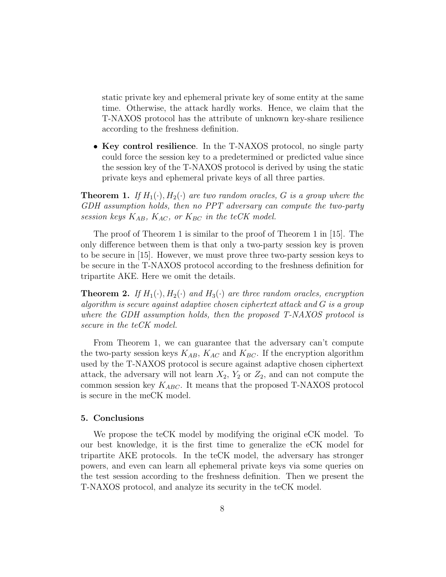static private key and ephemeral private key of some entity at the same time. Otherwise, the attack hardly works. Hence, we claim that the T-NAXOS protocol has the attribute of unknown key-share resilience according to the freshness definition.

• Key control resilience. In the T-NAXOS protocol, no single party could force the session key to a predetermined or predicted value since the session key of the T-NAXOS protocol is derived by using the static private keys and ephemeral private keys of all three parties.

**Theorem 1.** If  $H_1(\cdot), H_2(\cdot)$  are two random oracles, G is a group where the GDH assumption holds, then no PPT adversary can compute the two-party session keys  $K_{AB}$ ,  $K_{AC}$ , or  $K_{BC}$  in the teCK model.

The proof of Theorem 1 is similar to the proof of Theorem 1 in [15]. The only difference between them is that only a two-party session key is proven to be secure in [15]. However, we must prove three two-party session keys to be secure in the T-NAXOS protocol according to the freshness definition for tripartite AKE. Here we omit the details.

**Theorem 2.** If  $H_1(\cdot), H_2(\cdot)$  and  $H_3(\cdot)$  are three random oracles, encryption algorithm is secure against adaptive chosen ciphertext attack and G is a group where the GDH assumption holds, then the proposed T-NAXOS protocol is secure in the teCK model.

From Theorem 1, we can guarantee that the adversary can't compute the two-party session keys  $K_{AB}$ ,  $K_{AC}$  and  $K_{BC}$ . If the encryption algorithm used by the T-NAXOS protocol is secure against adaptive chosen ciphertext attack, the adversary will not learn  $X_2$ ,  $Y_2$  or  $Z_2$ , and can not compute the common session key  $K_{ABC}$ . It means that the proposed T-NAXOS protocol is secure in the meCK model.

## 5. Conclusions

We propose the teCK model by modifying the original eCK model. To our best knowledge, it is the first time to generalize the eCK model for tripartite AKE protocols. In the teCK model, the adversary has stronger powers, and even can learn all ephemeral private keys via some queries on the test session according to the freshness definition. Then we present the T-NAXOS protocol, and analyze its security in the teCK model.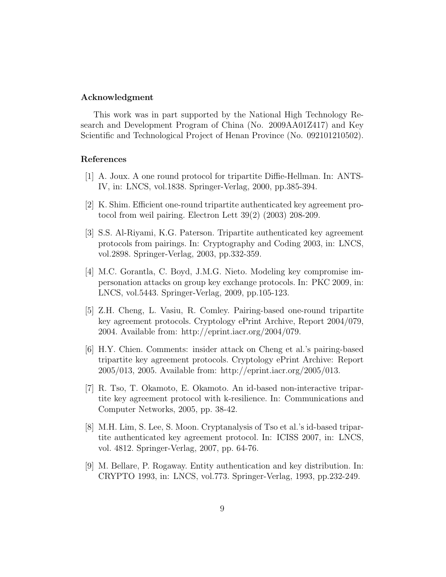#### Acknowledgment

This work was in part supported by the National High Technology Research and Development Program of China (No. 2009AA01Z417) and Key Scientific and Technological Project of Henan Province (No. 092101210502).

## References

- [1] A. Joux. A one round protocol for tripartite Diffie-Hellman. In: ANTS-IV, in: LNCS, vol.1838. Springer-Verlag, 2000, pp.385-394.
- [2] K. Shim. Efficient one-round tripartite authenticated key agreement protocol from weil pairing. Electron Lett 39(2) (2003) 208-209.
- [3] S.S. Al-Riyami, K.G. Paterson. Tripartite authenticated key agreement protocols from pairings. In: Cryptography and Coding 2003, in: LNCS, vol.2898. Springer-Verlag, 2003, pp.332-359.
- [4] M.C. Gorantla, C. Boyd, J.M.G. Nieto. Modeling key compromise impersonation attacks on group key exchange protocols. In: PKC 2009, in: LNCS, vol.5443. Springer-Verlag, 2009, pp.105-123.
- [5] Z.H. Cheng, L. Vasiu, R. Comley. Pairing-based one-round tripartite key agreement protocols. Cryptology ePrint Archive, Report 2004/079, 2004. Available from: http://eprint.iacr.org/2004/079.
- [6] H.Y. Chien. Comments: insider attack on Cheng et al.'s pairing-based tripartite key agreement protocols. Cryptology ePrint Archive: Report 2005/013, 2005. Available from: http://eprint.iacr.org/2005/013.
- [7] R. Tso, T. Okamoto, E. Okamoto. An id-based non-interactive tripartite key agreement protocol with k-resilience. In: Communications and Computer Networks, 2005, pp. 38-42.
- [8] M.H. Lim, S. Lee, S. Moon. Cryptanalysis of Tso et al.'s id-based tripartite authenticated key agreement protocol. In: ICISS 2007, in: LNCS, vol. 4812. Springer-Verlag, 2007, pp. 64-76.
- [9] M. Bellare, P. Rogaway. Entity authentication and key distribution. In: CRYPTO 1993, in: LNCS, vol.773. Springer-Verlag, 1993, pp.232-249.